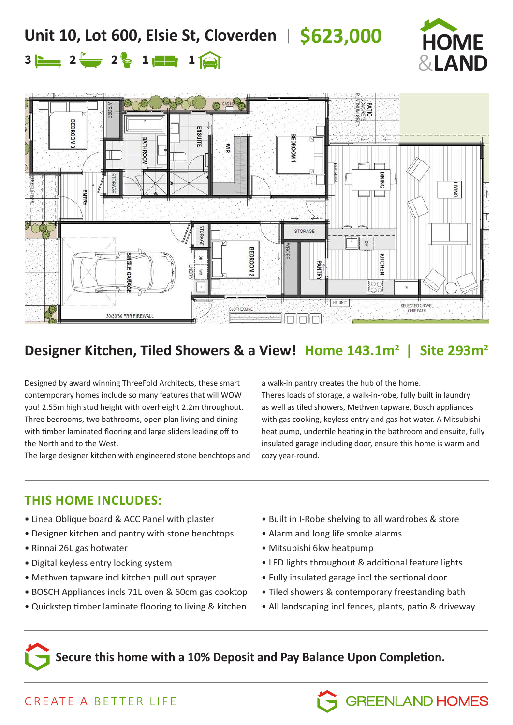## **Unit 10, Lot 600, Elsie St, Cloverden** | **\$623,000**



# $2 \div 2 \div 1 \div 1$



### **Designer Kitchen, Tiled Showers & a View! Home 143.1m2 | Site 293m2**

Designed by award winning ThreeFold Architects, these smart contemporary homes include so many features that will WOW you! 2.55m high stud height with overheight 2.2m throughout. Three bedrooms, two bathrooms, open plan living and dining with timber laminated flooring and large sliders leading off to the North and to the West.

The large designer kitchen with engineered stone benchtops and

a walk-in pantry creates the hub of the home.

Theres loads of storage, a walk-in-robe, fully built in laundry as well as tiled showers, Methven tapware, Bosch appliances with gas cooking, keyless entry and gas hot water. A Mitsubishi heat pump, undertile heating in the bathroom and ensuite, fully insulated garage including door, ensure this home is warm and cozy year-round.

### **THIS HOME INCLUDES:**

- Linea Oblique board & ACC Panel with plaster
- Designer kitchen and pantry with stone benchtops
- Rinnai 26L gas hotwater
- Digital keyless entry locking system
- Methven tapware incl kitchen pull out sprayer
- BOSCH Appliances incls 71L oven & 60cm gas cooktop
- Quickstep timber laminate flooring to living & kitchen
- Built in I-Robe shelving to all wardrobes & store
- Alarm and long life smoke alarms
- Mitsubishi 6kw heatpump
- LED lights throughout & additional feature lights
- Fully insulated garage incl the sectional door
- Tiled showers & contemporary freestanding bath
- All landscaping incl fences, plants, patio & driveway

**GREENLAND HOMES** 

**Secure this home with a 10% Deposit and Pay Balance Upon Completion.**

### CREATE A BETTER LIFE